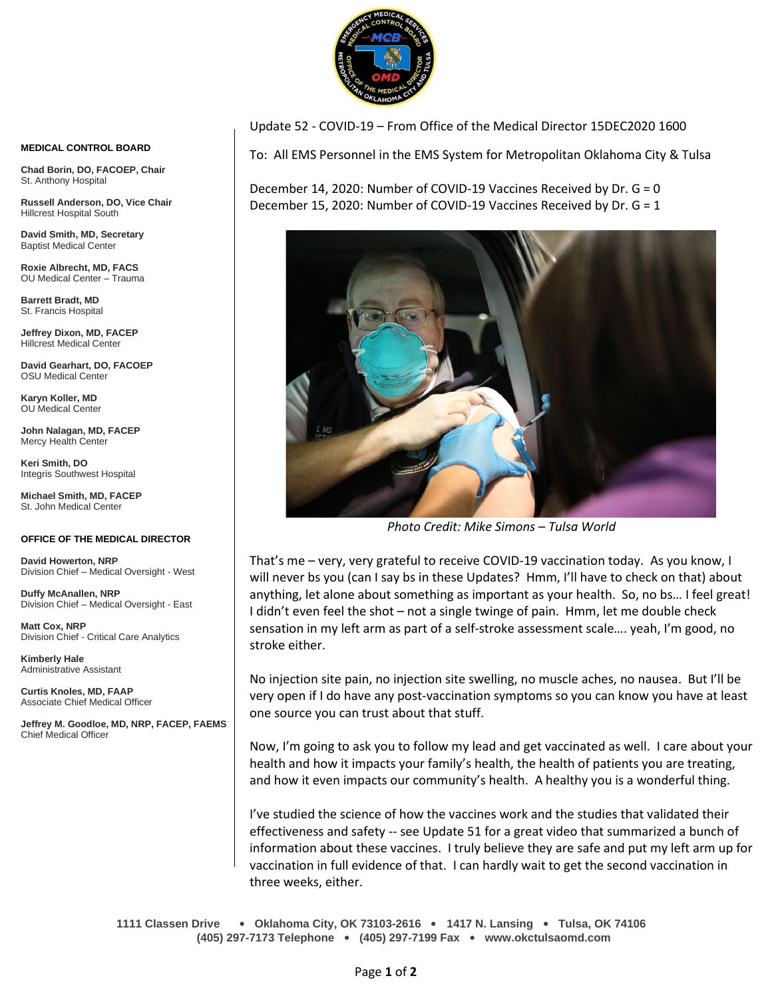

Update 52 - COVID-19 – From Office of the Medical Director 15DEC2020 1600

To: All EMS Personnel in the EMS System for Metropolitan Oklahoma City & Tulsa

December 14, 2020: Number of COVID-19 Vaccines Received by Dr. G = 0 December 15, 2020: Number of COVID-19 Vaccines Received by Dr. G = 1



*Photo Credit: Mike Simons – Tulsa World*

That's me – very, very grateful to receive COVID-19 vaccination today. As you know, I will never bs you (can I say bs in these Updates? Hmm, I'll have to check on that) about anything, let alone about something as important as your health. So, no bs… I feel great! I didn't even feel the shot – not a single twinge of pain. Hmm, let me double check sensation in my left arm as part of a self-stroke assessment scale…. yeah, I'm good, no stroke either.

No injection site pain, no injection site swelling, no muscle aches, no nausea. But I'll be very open if I do have any post-vaccination symptoms so you can know you have at least one source you can trust about that stuff.

Now, I'm going to ask you to follow my lead and get vaccinated as well. I care about your health and how it impacts your family's health, the health of patients you are treating, and how it even impacts our community's health. A healthy you is a wonderful thing.

I've studied the science of how the vaccines work and the studies that validated their effectiveness and safety -- see Update 51 for a great video that summarized a bunch of information about these vaccines. I truly believe they are safe and put my left arm up for vaccination in full evidence of that. I can hardly wait to get the second vaccination in three weeks, either.

**1111 Classen Drive** • **Oklahoma City, OK 73103-2616** • **1417 N. Lansing** • **Tulsa, OK 74106 (405) 297-7173 Telephone** • **(405) 297-7199 Fax** • **www.okctulsaomd.com**

## **MEDICAL CONTROL BOARD**

**Chad Borin, DO, FACOEP, Chair**  St. Anthony Hospital

**Russell Anderson, DO, Vice Chair** Hillcrest Hospital South

**David Smith, MD, Secretary** Baptist Medical Center

**Roxie Albrecht, MD, FACS** OU Medical Center – Trauma

**Barrett Bradt, MD** St. Francis Hospital

**Jeffrey Dixon, MD, FACEP** Hillcrest Medical Center

**David Gearhart, DO, FACOEP** OSU Medical Center

**Karyn Koller, MD** OU Medical Center

**John Nalagan, MD, FACEP** Mercy Health Center

**Keri Smith, DO** Integris Southwest Hospital

**Michael Smith, MD, FACEP** St. John Medical Center

## **OFFICE OF THE MEDICAL DIRECTOR**

**David Howerton, NRP** Division Chief – Medical Oversight - West

**Duffy McAnallen, NRP** Division Chief – Medical Oversight - East

**Matt Cox, NRP** Division Chief - Critical Care Analytics

**Kimberly Hale** Administrative Assistant

**Curtis Knoles, MD, FAAP** Associate Chief Medical Officer

**Jeffrey M. Goodloe, MD, NRP, FACEP, FAEMS** Chief Medical Officer